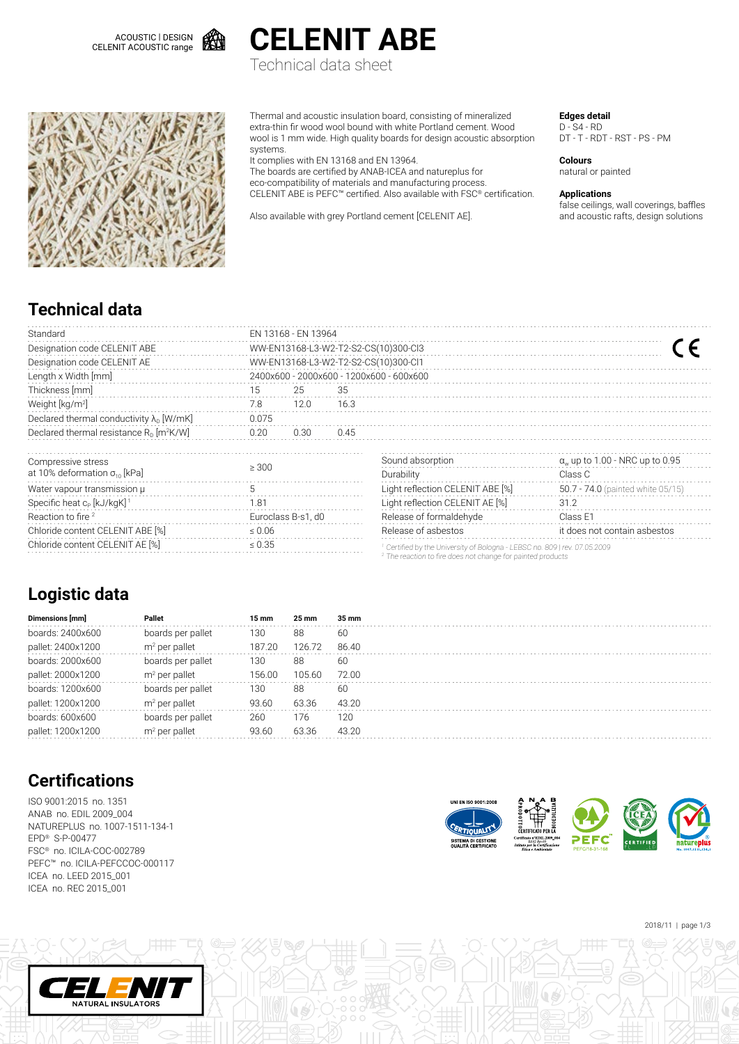



Technical data sheet



Thermal and acoustic insulation board, consisting of mineralized extra-thin fir wood wool bound with white Portland cement. Wood wool is 1 mm wide. High quality boards for design acoustic absorption systems.

It complies with EN 13168 and EN 13964.

The boards are certified by ANAB-ICEA and natureplus for eco-compatibility of materials and manufacturing process. CELENIT ABE is PEFC™ certified. Also available with FSC® certification.

Also available with grey Portland cement [CELENIT AE].

**Edges detail**

D - S4 - RD DT - T - RDT - RST - PS - PM

**Colours** natural or painted

**Applications**

false ceilings, wall coverings, baffles and acoustic rafts, design solutions

### **Technical data**

| Standard                                               | EN 13168 - EN 13964                      |                    |      |                                                                                                                                                    |                                        |  |  |  |  |  |  |
|--------------------------------------------------------|------------------------------------------|--------------------|------|----------------------------------------------------------------------------------------------------------------------------------------------------|----------------------------------------|--|--|--|--|--|--|
| Designation code CELENIT ABE                           | WW-EN13168-L3-W2-T2-S2-CS(10)300-Cl3     |                    |      |                                                                                                                                                    |                                        |  |  |  |  |  |  |
| Designation code CELENIT AE                            | WW-EN13168-L3-W2-T2-S2-CS(10)300-Cl1     |                    |      |                                                                                                                                                    |                                        |  |  |  |  |  |  |
| Length x Width [mm]                                    | 2400x600 - 2000x600 - 1200x600 - 600x600 |                    |      |                                                                                                                                                    |                                        |  |  |  |  |  |  |
| Thickness [mm]                                         | 15                                       | 25                 | 35   |                                                                                                                                                    |                                        |  |  |  |  |  |  |
| Weight [kg/m <sup>2]</sup>                             | 7.8                                      | 12.0               | 16.3 |                                                                                                                                                    |                                        |  |  |  |  |  |  |
| Declared thermal conductivity $\lambda_{D}$ [W/mK]     | 0.075                                    |                    |      |                                                                                                                                                    |                                        |  |  |  |  |  |  |
| Declared thermal resistance $R_0$ [m <sup>2</sup> K/W] | 0.20                                     | 0.30               | 0.45 |                                                                                                                                                    |                                        |  |  |  |  |  |  |
| Compressive stress                                     |                                          |                    |      | Sound absorption                                                                                                                                   | $\alpha_w$ up to 1.00 - NRC up to 0.95 |  |  |  |  |  |  |
| at 10% deformation $\sigma_{10}$ [kPa]                 | $\geq 300$                               |                    |      | Durability                                                                                                                                         | Class C                                |  |  |  |  |  |  |
| Water vapour transmission µ                            | 5                                        |                    |      | Light reflection CELENIT ABE [%]                                                                                                                   | 50.7 - 74.0 (painted white 05/15)      |  |  |  |  |  |  |
| Specific heat c <sub>p</sub> [kJ/kgK] <sup>1</sup>     | 1.81                                     |                    |      | Light reflection CELENIT AE [%]                                                                                                                    | 31.2                                   |  |  |  |  |  |  |
| Reaction to fire <sup>2</sup>                          |                                          | Euroclass B-s1, d0 |      | Release of formaldehyde                                                                                                                            | Class E1                               |  |  |  |  |  |  |
| Chloride content CELENIT ABE [%]                       | $\leq 0.06$                              |                    |      | Release of asbestos                                                                                                                                | it does not contain asbestos           |  |  |  |  |  |  |
| Chloride content CELENIT AE [%]                        | $\leq 0.35$                              |                    |      | Certified by the University of Bologna - LEBSC no. 809   rev. 07.05.2009<br><sup>2</sup> The reaction to fire does not change for painted products |                                        |  |  |  |  |  |  |

## **Logistic data**

| Dimensions [mm]   | Pallet            | 15 mm  | 25 mm  | 35 mm |  |
|-------------------|-------------------|--------|--------|-------|--|
| boards: 2400x600  | boards per pallet | 130    | 88     | 60    |  |
| pallet: 2400x1200 | $m2$ per pallet   | 187.20 | 126.72 | 86.40 |  |
| boards: 2000x600  | boards per pallet | 130    | 88     | 60    |  |
| pallet: 2000x1200 | $m2$ per pallet   | 156.00 | 105.60 | 72.00 |  |
| boards: 1200x600  | boards per pallet | 130    | 88     | 60    |  |
| pallet: 1200x1200 | $m2$ per pallet   | 93.60  | 63.36  | 43.20 |  |
| boards: 600x600   | boards per pallet | 260    | 176    | 120   |  |
| pallet: 1200x1200 | $m2$ per pallet   | 93.60  | 63.36  | 43.20 |  |
|                   |                   |        |        |       |  |

# **Certifications**

ISO 9001:2015 no. 1351 ANAB no. EDIL 2009\_004 NATUREPLUS no. 1007-1511-134-1 EPD® S-P-00477 FSC® no. ICILA-COC-002789 PEFC™ no. ICILA-PEFCCOC-000117 ICEA no. LEED 2015\_001 ICEA no. REC 2015\_001





2018/11 | page 1/3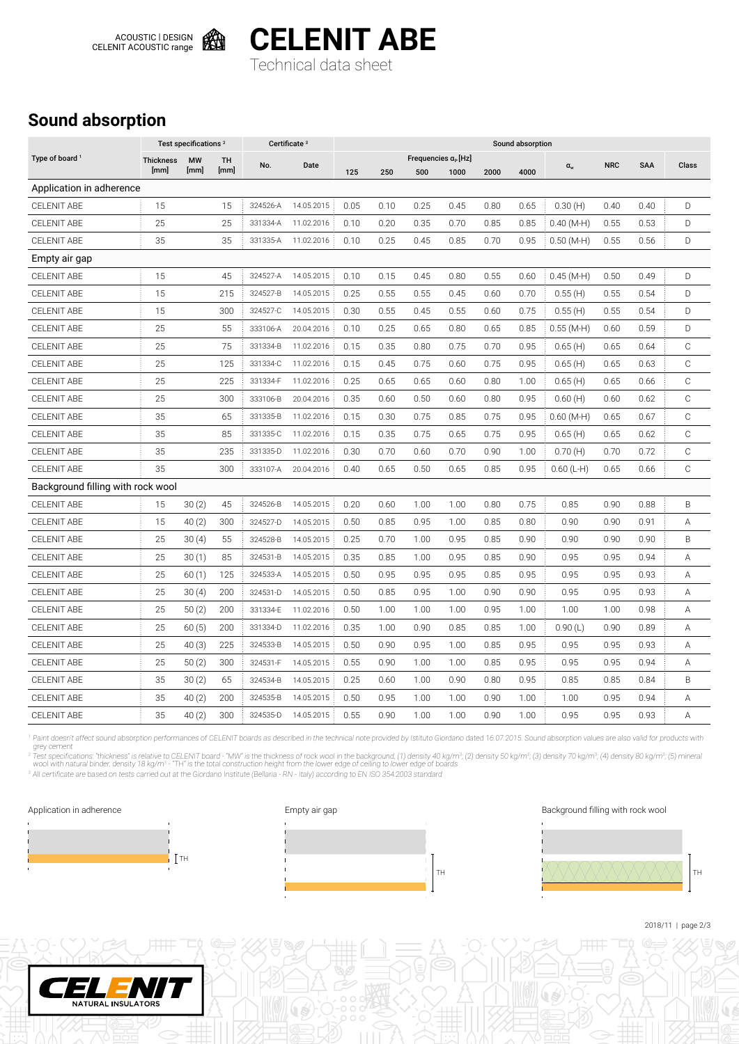

**CELENIT ABE** Technical data sheet

## **Sound absorption**

|                                   | Test specifications <sup>2</sup> |                   |            | Certificate <sup>3</sup> |            | Sound absorption |      |      |                                       |      |      |              |            |            |              |
|-----------------------------------|----------------------------------|-------------------|------------|--------------------------|------------|------------------|------|------|---------------------------------------|------|------|--------------|------------|------------|--------------|
| Type of board <sup>1</sup>        | <b>Thickness</b><br>[mm]         | <b>MW</b><br>[mm] | TH<br>[mm] | No.                      | Date       | 125              | 250  | 500  | Frequencies $\alpha_{P}$ [Hz]<br>1000 | 2000 | 4000 | $\alpha_{w}$ | <b>NRC</b> | <b>SAA</b> | Class        |
| Application in adherence          |                                  |                   |            |                          |            |                  |      |      |                                       |      |      |              |            |            |              |
| <b>CELENIT ABE</b>                | 15                               |                   | 15         | 324526-A                 | 14.05.2015 | 0.05             | 0.10 | 0.25 | 0.45                                  | 0.80 | 0.65 | 0.30(H)      | 0.40       | 0.40       | D            |
| <b>CELENIT ABE</b>                | 25                               |                   | 25         | 331334-A                 | 11.02.2016 | 0.10             | 0.20 | 0.35 | 0.70                                  | 0.85 | 0.85 | $0.40$ (M-H) | 0.55       | 0.53       | D            |
| <b>CELENIT ABE</b>                | 35                               |                   | 35         | 331335-A                 | 11.02.2016 | 0.10             | 0.25 | 0.45 | 0.85                                  | 0.70 | 0.95 | $0.50$ (M-H) | 0.55       | 0.56       | D            |
| Empty air gap                     |                                  |                   |            |                          |            |                  |      |      |                                       |      |      |              |            |            |              |
| <b>CELENIT ABE</b>                | 15                               |                   | 45         | 324527-A                 | 14.05.2015 | 0.10             | 0.15 | 0.45 | 0.80                                  | 0.55 | 0.60 | $0.45(M-H)$  | 0.50       | 0.49       | D            |
| <b>CELENIT ABE</b>                | 15                               |                   | 215        | 324527-B                 | 14.05.2015 | 0.25             | 0.55 | 0.55 | 0.45                                  | 0.60 | 0.70 | 0.55(H)      | 0.55       | 0.54       | D            |
| <b>CELENIT ABE</b>                | 15                               |                   | 300        | 324527-C                 | 14.05.2015 | 0.30             | 0.55 | 0.45 | 0.55                                  | 0.60 | 0.75 | 0.55(H)      | 0.55       | 0.54       | D            |
| <b>CELENIT ABE</b>                | 25                               |                   | 55         | 333106-A                 | 20.04.2016 | 0.10             | 0.25 | 0.65 | 0.80                                  | 0.65 | 0.85 | $0.55(M-H)$  | 0.60       | 0.59       | D            |
| <b>CELENIT ABE</b>                | 25                               |                   | 75         | 331334-B                 | 11.02.2016 | 0.15             | 0.35 | 0.80 | 0.75                                  | 0.70 | 0.95 | 0.65(H)      | 0.65       | 0.64       | $\mathbb C$  |
| <b>CELENIT ABE</b>                | 25                               |                   | 125        | 331334-C                 | 11.02.2016 | 0.15             | 0.45 | 0.75 | 0.60                                  | 0.75 | 0.95 | 0.65(H)      | 0.65       | 0.63       | $\mathbb C$  |
| <b>CELENIT ABE</b>                | 25                               |                   | 225        | 331334-F                 | 11.02.2016 | 0.25             | 0.65 | 0.65 | 0.60                                  | 0.80 | 1.00 | 0.65(H)      | 0.65       | 0.66       | $\mathbb C$  |
| <b>CELENIT ABE</b>                | 25                               |                   | 300        | 333106-B                 | 20.04.2016 | 0.35             | 0.60 | 0.50 | 0.60                                  | 0.80 | 0.95 | 0.60(H)      | 0.60       | 0.62       | $\mathbb C$  |
| <b>CELENIT ABE</b>                | 35                               |                   | 65         | 331335-B                 | 11.02.2016 | 0.15             | 0.30 | 0.75 | 0.85                                  | 0.75 | 0.95 | $0.60$ (M-H) | 0.65       | 0.67       | $\mathbb C$  |
| <b>CELENIT ABE</b>                | 35                               |                   | 85         | 331335-C                 | 11.02.2016 | 0.15             | 0.35 | 0.75 | 0.65                                  | 0.75 | 0.95 | 0.65(H)      | 0.65       | 0.62       | $\mathbb C$  |
| <b>CELENIT ABE</b>                | 35                               |                   | 235        | 331335-D                 | 11.02.2016 | 0.30             | 0.70 | 0.60 | 0.70                                  | 0.90 | 1.00 | 0.70(H)      | 0.70       | 0.72       | $\mathsf{C}$ |
| <b>CELENIT ABE</b>                | 35                               |                   | 300        | 333107-A                 | 20.04.2016 | 0.40             | 0.65 | 0.50 | 0.65                                  | 0.85 | 0.95 | $0.60$ (L-H) | 0.65       | 0.66       | $\mathbb C$  |
| Background filling with rock wool |                                  |                   |            |                          |            |                  |      |      |                                       |      |      |              |            |            |              |
| <b>CELENIT ABE</b>                | 15                               | 30(2)             | 45         | 324526-B                 | 14.05.2015 | 0.20             | 0.60 | 1.00 | 1.00                                  | 0.80 | 0.75 | 0.85         | 0.90       | 0.88       | B            |
| <b>CELENIT ABE</b>                | 15                               | 40(2)             | 300        | 324527-D                 | 14.05.2015 | 0.50             | 0.85 | 0.95 | 1.00                                  | 0.85 | 0.80 | 0.90         | 0.90       | 0.91       | Α            |
| <b>CELENIT ABE</b>                | 25                               | 30(4)             | 55         | 324528-B                 | 14.05.2015 | 0.25             | 0.70 | 1.00 | 0.95                                  | 0.85 | 0.90 | 0.90         | 0.90       | 0.90       | B            |
| <b>CELENIT ABE</b>                | 25                               | 30(1)             | 85         | 324531-B                 | 14.05.2015 | 0.35             | 0.85 | 1.00 | 0.95                                  | 0.85 | 0.90 | 0.95         | 0.95       | 0.94       | Α            |
| <b>CELENIT ABE</b>                | 25                               | 60(1)             | 125        | 324533-A                 | 14.05.2015 | 0.50             | 0.95 | 0.95 | 0.95                                  | 0.85 | 0.95 | 0.95         | 0.95       | 0.93       | Α            |
| <b>CELENIT ABE</b>                | 25                               | 30(4)             | 200        | 324531-D                 | 14.05.2015 | 0.50             | 0.85 | 0.95 | 1.00                                  | 0.90 | 0.90 | 0.95         | 0.95       | 0.93       | А            |
| <b>CELENIT ABE</b>                | 25                               | 50(2)             | 200        | 331334-E                 | 11.02.2016 | 0.50             | 1.00 | 1.00 | 1.00                                  | 0.95 | 1.00 | 1.00         | 1.00       | 0.98       | А            |
| <b>CELENIT ABE</b>                | 25                               | 60(5)             | 200        | 331334-D                 | 11.02.2016 | 0.35             | 1.00 | 0.90 | 0.85                                  | 0.85 | 1.00 | 0.90(L)      | 0.90       | 0.89       | А            |
| <b>CELENIT ABE</b>                | 25                               | 40(3)             | 225        | 324533-B                 | 14.05.2015 | 0.50             | 0.90 | 0.95 | 1.00                                  | 0.85 | 0.95 | 0.95         | 0.95       | 0.93       | Α            |
| <b>CELENIT ABE</b>                | 25                               | 50(2)             | 300        | 324531-F                 | 14.05.2015 | 0.55             | 0.90 | 1.00 | 1.00                                  | 0.85 | 0.95 | 0.95         | 0.95       | 0.94       | А            |
| <b>CELENIT ABE</b>                | 35                               | 30(2)             | 65         | 324534-B                 | 14.05.2015 | 0.25             | 0.60 | 1.00 | 0.90                                  | 0.80 | 0.95 | 0.85         | 0.85       | 0.84       | B            |
| <b>CELENIT ABE</b>                | 35                               | 40(2)             | 200        | 324535-B                 | 14.05.2015 | 0.50             | 0.95 | 1.00 | 1.00                                  | 0.90 | 1.00 | 1.00         | 0.95       | 0.94       | А            |
| <b>CELENIT ABE</b>                | 35                               | 40(2)             | 300        | 324535-D                 | 14.05.2015 | 0.55             | 0.90 | 1.00 | 1.00                                  | 0.90 | 1.00 | 0.95         | 0.95       | 0.93       | Α            |
|                                   |                                  |                   |            |                          |            |                  |      |      |                                       |      |      |              |            |            |              |

<sup>1</sup> Paint doesn't affect sound absorption performances of CELENIT boards as described in the technical note provided by Istituto Giordano dated 16.07.2015. Sound absorption values are also valid for products with

grey cement<br><sup>2</sup> Test specifications: "thickness" is relative to CELENIT board - "MW" is the thickness of rock wool in the background, (1) density 40 kg/m<sup>3</sup>; (2) density 50 kg/m<sup>3</sup>; (3) density 70 kg/m<sup>3</sup>; (4) density 80 k







2018/11 | page 2/3